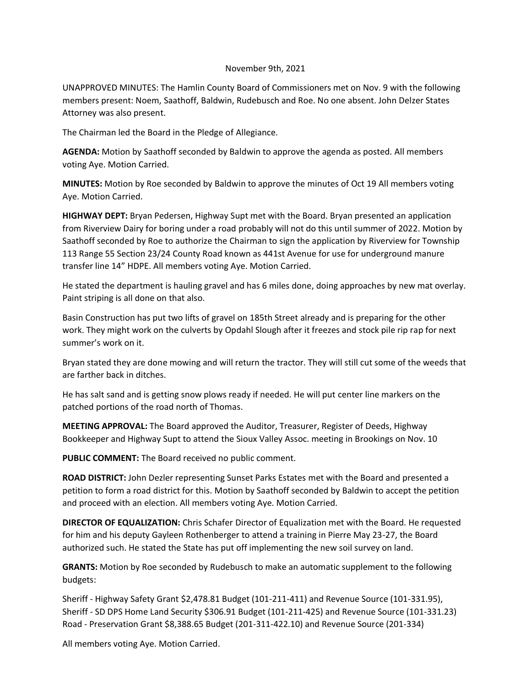## November 9th, 2021

UNAPPROVED MINUTES: The Hamlin County Board of Commissioners met on Nov. 9 with the following members present: Noem, Saathoff, Baldwin, Rudebusch and Roe. No one absent. John Delzer States Attorney was also present.

The Chairman led the Board in the Pledge of Allegiance.

**AGENDA:** Motion by Saathoff seconded by Baldwin to approve the agenda as posted. All members voting Aye. Motion Carried.

**MINUTES:** Motion by Roe seconded by Baldwin to approve the minutes of Oct 19 All members voting Aye. Motion Carried.

**HIGHWAY DEPT:** Bryan Pedersen, Highway Supt met with the Board. Bryan presented an application from Riverview Dairy for boring under a road probably will not do this until summer of 2022. Motion by Saathoff seconded by Roe to authorize the Chairman to sign the application by Riverview for Township 113 Range 55 Section 23/24 County Road known as 441st Avenue for use for underground manure transfer line 14" HDPE. All members voting Aye. Motion Carried.

He stated the department is hauling gravel and has 6 miles done, doing approaches by new mat overlay. Paint striping is all done on that also.

Basin Construction has put two lifts of gravel on 185th Street already and is preparing for the other work. They might work on the culverts by Opdahl Slough after it freezes and stock pile rip rap for next summer's work on it.

Bryan stated they are done mowing and will return the tractor. They will still cut some of the weeds that are farther back in ditches.

He has salt sand and is getting snow plows ready if needed. He will put center line markers on the patched portions of the road north of Thomas.

**MEETING APPROVAL:** The Board approved the Auditor, Treasurer, Register of Deeds, Highway Bookkeeper and Highway Supt to attend the Sioux Valley Assoc. meeting in Brookings on Nov. 10

**PUBLIC COMMENT:** The Board received no public comment.

**ROAD DISTRICT:** John Dezler representing Sunset Parks Estates met with the Board and presented a petition to form a road district for this. Motion by Saathoff seconded by Baldwin to accept the petition and proceed with an election. All members voting Aye. Motion Carried.

**DIRECTOR OF EQUALIZATION:** Chris Schafer Director of Equalization met with the Board. He requested for him and his deputy Gayleen Rothenberger to attend a training in Pierre May 23-27, the Board authorized such. He stated the State has put off implementing the new soil survey on land.

**GRANTS:** Motion by Roe seconded by Rudebusch to make an automatic supplement to the following budgets:

Sheriff - Highway Safety Grant \$2,478.81 Budget (101-211-411) and Revenue Source (101-331.95), Sheriff - SD DPS Home Land Security \$306.91 Budget (101-211-425) and Revenue Source (101-331.23) Road - Preservation Grant \$8,388.65 Budget (201-311-422.10) and Revenue Source (201-334)

All members voting Aye. Motion Carried.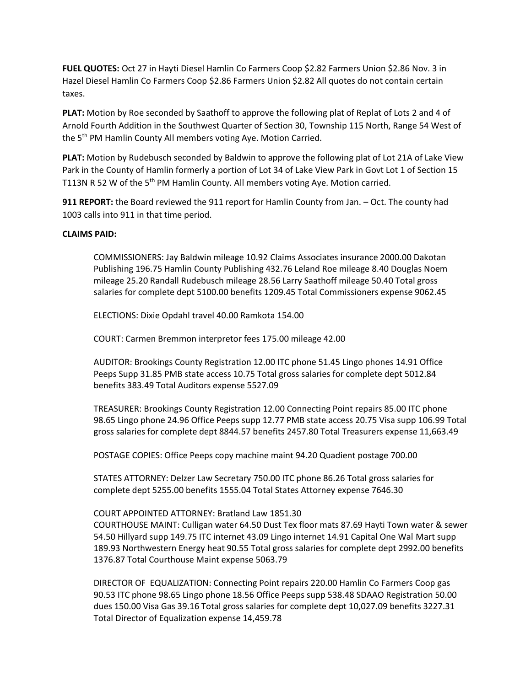**FUEL QUOTES:** Oct 27 in Hayti Diesel Hamlin Co Farmers Coop \$2.82 Farmers Union \$2.86 Nov. 3 in Hazel Diesel Hamlin Co Farmers Coop \$2.86 Farmers Union \$2.82 All quotes do not contain certain taxes.

**PLAT:** Motion by Roe seconded by Saathoff to approve the following plat of Replat of Lots 2 and 4 of Arnold Fourth Addition in the Southwest Quarter of Section 30, Township 115 North, Range 54 West of the 5th PM Hamlin County All members voting Aye. Motion Carried.

**PLAT:** Motion by Rudebusch seconded by Baldwin to approve the following plat of Lot 21A of Lake View Park in the County of Hamlin formerly a portion of Lot 34 of Lake View Park in Govt Lot 1 of Section 15 T113N R 52 W of the 5<sup>th</sup> PM Hamlin County. All members voting Aye. Motion carried.

**911 REPORT:** the Board reviewed the 911 report for Hamlin County from Jan. – Oct. The county had 1003 calls into 911 in that time period.

## **CLAIMS PAID:**

COMMISSIONERS: Jay Baldwin mileage 10.92 Claims Associates insurance 2000.00 Dakotan Publishing 196.75 Hamlin County Publishing 432.76 Leland Roe mileage 8.40 Douglas Noem mileage 25.20 Randall Rudebusch mileage 28.56 Larry Saathoff mileage 50.40 Total gross salaries for complete dept 5100.00 benefits 1209.45 Total Commissioners expense 9062.45

ELECTIONS: Dixie Opdahl travel 40.00 Ramkota 154.00

COURT: Carmen Bremmon interpretor fees 175.00 mileage 42.00

AUDITOR: Brookings County Registration 12.00 ITC phone 51.45 Lingo phones 14.91 Office Peeps Supp 31.85 PMB state access 10.75 Total gross salaries for complete dept 5012.84 benefits 383.49 Total Auditors expense 5527.09

TREASURER: Brookings County Registration 12.00 Connecting Point repairs 85.00 ITC phone 98.65 Lingo phone 24.96 Office Peeps supp 12.77 PMB state access 20.75 Visa supp 106.99 Total gross salaries for complete dept 8844.57 benefits 2457.80 Total Treasurers expense 11,663.49

POSTAGE COPIES: Office Peeps copy machine maint 94.20 Quadient postage 700.00

STATES ATTORNEY: Delzer Law Secretary 750.00 ITC phone 86.26 Total gross salaries for complete dept 5255.00 benefits 1555.04 Total States Attorney expense 7646.30

## COURT APPOINTED ATTORNEY: Bratland Law 1851.30

COURTHOUSE MAINT: Culligan water 64.50 Dust Tex floor mats 87.69 Hayti Town water & sewer 54.50 Hillyard supp 149.75 ITC internet 43.09 Lingo internet 14.91 Capital One Wal Mart supp 189.93 Northwestern Energy heat 90.55 Total gross salaries for complete dept 2992.00 benefits 1376.87 Total Courthouse Maint expense 5063.79

DIRECTOR OF EQUALIZATION: Connecting Point repairs 220.00 Hamlin Co Farmers Coop gas 90.53 ITC phone 98.65 Lingo phone 18.56 Office Peeps supp 538.48 SDAAO Registration 50.00 dues 150.00 Visa Gas 39.16 Total gross salaries for complete dept 10,027.09 benefits 3227.31 Total Director of Equalization expense 14,459.78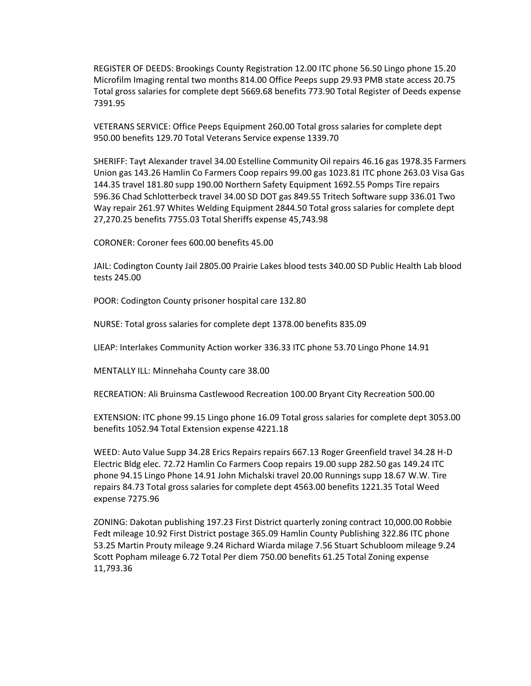REGISTER OF DEEDS: Brookings County Registration 12.00 ITC phone 56.50 Lingo phone 15.20 Microfilm Imaging rental two months 814.00 Office Peeps supp 29.93 PMB state access 20.75 Total gross salaries for complete dept 5669.68 benefits 773.90 Total Register of Deeds expense 7391.95

VETERANS SERVICE: Office Peeps Equipment 260.00 Total gross salaries for complete dept 950.00 benefits 129.70 Total Veterans Service expense 1339.70

SHERIFF: Tayt Alexander travel 34.00 Estelline Community Oil repairs 46.16 gas 1978.35 Farmers Union gas 143.26 Hamlin Co Farmers Coop repairs 99.00 gas 1023.81 ITC phone 263.03 Visa Gas 144.35 travel 181.80 supp 190.00 Northern Safety Equipment 1692.55 Pomps Tire repairs 596.36 Chad Schlotterbeck travel 34.00 SD DOT gas 849.55 Tritech Software supp 336.01 Two Way repair 261.97 Whites Welding Equipment 2844.50 Total gross salaries for complete dept 27,270.25 benefits 7755.03 Total Sheriffs expense 45,743.98

CORONER: Coroner fees 600.00 benefits 45.00

JAIL: Codington County Jail 2805.00 Prairie Lakes blood tests 340.00 SD Public Health Lab blood tests 245.00

POOR: Codington County prisoner hospital care 132.80

NURSE: Total gross salaries for complete dept 1378.00 benefits 835.09

LIEAP: Interlakes Community Action worker 336.33 ITC phone 53.70 Lingo Phone 14.91

MENTALLY ILL: Minnehaha County care 38.00

RECREATION: Ali Bruinsma Castlewood Recreation 100.00 Bryant City Recreation 500.00

EXTENSION: ITC phone 99.15 Lingo phone 16.09 Total gross salaries for complete dept 3053.00 benefits 1052.94 Total Extension expense 4221.18

WEED: Auto Value Supp 34.28 Erics Repairs repairs 667.13 Roger Greenfield travel 34.28 H-D Electric Bldg elec. 72.72 Hamlin Co Farmers Coop repairs 19.00 supp 282.50 gas 149.24 ITC phone 94.15 Lingo Phone 14.91 John Michalski travel 20.00 Runnings supp 18.67 W.W. Tire repairs 84.73 Total gross salaries for complete dept 4563.00 benefits 1221.35 Total Weed expense 7275.96

ZONING: Dakotan publishing 197.23 First District quarterly zoning contract 10,000.00 Robbie Fedt mileage 10.92 First District postage 365.09 Hamlin County Publishing 322.86 ITC phone 53.25 Martin Prouty mileage 9.24 Richard Wiarda milage 7.56 Stuart Schubloom mileage 9.24 Scott Popham mileage 6.72 Total Per diem 750.00 benefits 61.25 Total Zoning expense 11,793.36